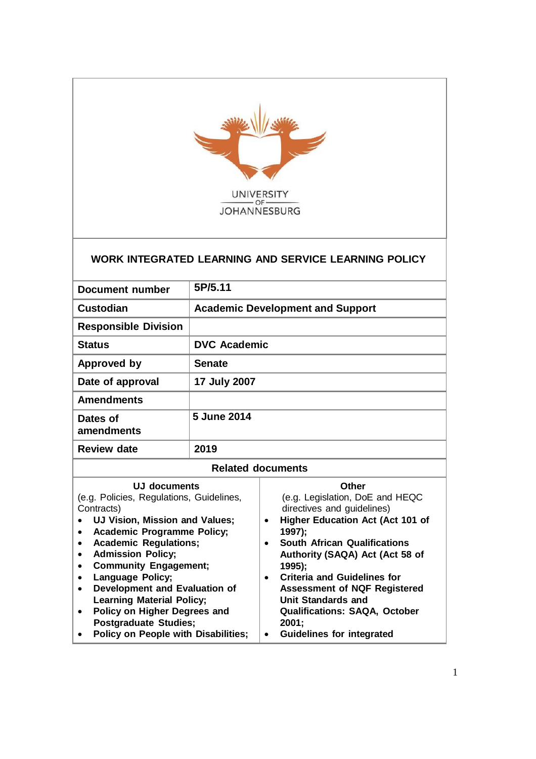

## **WORK INTEGRATED LEARNING AND SERVICE LEARNING POLICY**

| <b>Document number</b>                                                                                                                                                                                                                                                                                                                                                                           | 5P/5.11             |                                                                                                                                                                                                                                                                                                                                                                  |  |
|--------------------------------------------------------------------------------------------------------------------------------------------------------------------------------------------------------------------------------------------------------------------------------------------------------------------------------------------------------------------------------------------------|---------------------|------------------------------------------------------------------------------------------------------------------------------------------------------------------------------------------------------------------------------------------------------------------------------------------------------------------------------------------------------------------|--|
| <b>Custodian</b>                                                                                                                                                                                                                                                                                                                                                                                 |                     | <b>Academic Development and Support</b>                                                                                                                                                                                                                                                                                                                          |  |
| <b>Responsible Division</b>                                                                                                                                                                                                                                                                                                                                                                      |                     |                                                                                                                                                                                                                                                                                                                                                                  |  |
| <b>Status</b>                                                                                                                                                                                                                                                                                                                                                                                    | <b>DVC Academic</b> |                                                                                                                                                                                                                                                                                                                                                                  |  |
| Approved by                                                                                                                                                                                                                                                                                                                                                                                      | <b>Senate</b>       |                                                                                                                                                                                                                                                                                                                                                                  |  |
| Date of approval                                                                                                                                                                                                                                                                                                                                                                                 | 17 July 2007        |                                                                                                                                                                                                                                                                                                                                                                  |  |
| <b>Amendments</b>                                                                                                                                                                                                                                                                                                                                                                                |                     |                                                                                                                                                                                                                                                                                                                                                                  |  |
| Dates of<br>amendments                                                                                                                                                                                                                                                                                                                                                                           | 5 June 2014         |                                                                                                                                                                                                                                                                                                                                                                  |  |
| <b>Review date</b>                                                                                                                                                                                                                                                                                                                                                                               | 2019                |                                                                                                                                                                                                                                                                                                                                                                  |  |
| <b>Related documents</b>                                                                                                                                                                                                                                                                                                                                                                         |                     |                                                                                                                                                                                                                                                                                                                                                                  |  |
| UJ documents<br>(e.g. Policies, Regulations, Guidelines,<br>Contracts)<br>UJ Vision, Mission and Values;<br><b>Academic Programme Policy;</b><br>$\bullet$<br><b>Academic Regulations;</b><br>٠<br><b>Admission Policy;</b><br>$\bullet$<br><b>Community Engagement;</b><br>$\bullet$<br>Language Policy;<br>$\bullet$<br>Development and Evaluation of<br>٠<br><b>Learning Material Policy;</b> |                     | Other<br>(e.g. Legislation, DoE and HEQC<br>directives and guidelines)<br><b>Higher Education Act (Act 101 of</b><br>$\bullet$<br>1997);<br><b>South African Qualifications</b><br>$\bullet$<br>Authority (SAQA) Act (Act 58 of<br>1995);<br><b>Criteria and Guidelines for</b><br>$\bullet$<br><b>Assessment of NQF Registered</b><br><b>Unit Standards and</b> |  |

 **Policy on Higher Degrees and Postgraduate Studies; Policy on People with Disabilities; Qualifications: SAQA, October 2001; Guidelines for integrated**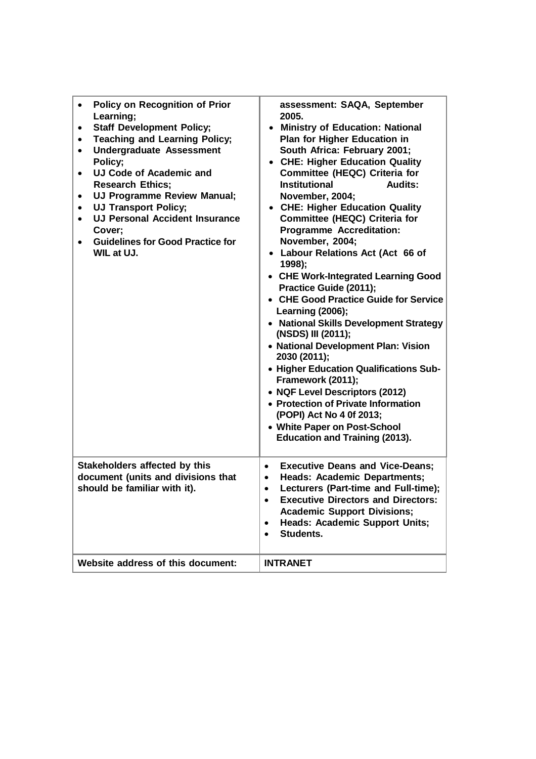| <b>Policy on Recognition of Prior</b><br>$\bullet$<br>Learning;<br><b>Staff Development Policy;</b><br>٠<br><b>Teaching and Learning Policy;</b><br>٠<br><b>Undergraduate Assessment</b><br>$\bullet$<br>Policy;<br>UJ Code of Academic and<br>$\bullet$<br><b>Research Ethics;</b><br>UJ Programme Review Manual;<br>$\bullet$<br><b>UJ Transport Policy;</b><br>$\bullet$<br><b>UJ Personal Accident Insurance</b><br>$\bullet$<br>Cover;<br><b>Guidelines for Good Practice for</b><br>$\bullet$<br><b>WIL at UJ.</b><br>Stakeholders affected by this | assessment: SAQA, September<br>2005.<br><b>Ministry of Education: National</b><br>Plan for Higher Education in<br>South Africa: February 2001;<br><b>CHE: Higher Education Quality</b><br>$\bullet$<br>Committee (HEQC) Criteria for<br><b>Institutional</b><br><b>Audits:</b><br>November, 2004;<br>• CHE: Higher Education Quality<br><b>Committee (HEQC) Criteria for</b><br><b>Programme Accreditation:</b><br>November, 2004;<br>Labour Relations Act (Act 66 of<br>1998);<br>• CHE Work-Integrated Learning Good<br>Practice Guide (2011);<br>• CHE Good Practice Guide for Service<br><b>Learning (2006);</b><br>• National Skills Development Strategy<br>(NSDS) III (2011);<br>• National Development Plan: Vision<br>2030 (2011);<br>• Higher Education Qualifications Sub-<br>Framework (2011);<br>• NQF Level Descriptors (2012)<br>• Protection of Private Information<br>(POPI) Act No 4 0f 2013;<br>• White Paper on Post-School<br><b>Education and Training (2013).</b><br><b>Executive Deans and Vice-Deans;</b><br>$\bullet$ |
|-----------------------------------------------------------------------------------------------------------------------------------------------------------------------------------------------------------------------------------------------------------------------------------------------------------------------------------------------------------------------------------------------------------------------------------------------------------------------------------------------------------------------------------------------------------|-------------------------------------------------------------------------------------------------------------------------------------------------------------------------------------------------------------------------------------------------------------------------------------------------------------------------------------------------------------------------------------------------------------------------------------------------------------------------------------------------------------------------------------------------------------------------------------------------------------------------------------------------------------------------------------------------------------------------------------------------------------------------------------------------------------------------------------------------------------------------------------------------------------------------------------------------------------------------------------------------------------------------------------------------|
| document (units and divisions that<br>should be familiar with it).                                                                                                                                                                                                                                                                                                                                                                                                                                                                                        | <b>Heads: Academic Departments;</b><br>$\bullet$<br>Lecturers (Part-time and Full-time);<br>$\bullet$<br><b>Executive Directors and Directors:</b><br><b>Academic Support Divisions;</b><br><b>Heads: Academic Support Units;</b><br>$\bullet$<br>Students.<br>$\bullet$                                                                                                                                                                                                                                                                                                                                                                                                                                                                                                                                                                                                                                                                                                                                                                        |
| Website address of this document:                                                                                                                                                                                                                                                                                                                                                                                                                                                                                                                         | <b>INTRANET</b>                                                                                                                                                                                                                                                                                                                                                                                                                                                                                                                                                                                                                                                                                                                                                                                                                                                                                                                                                                                                                                 |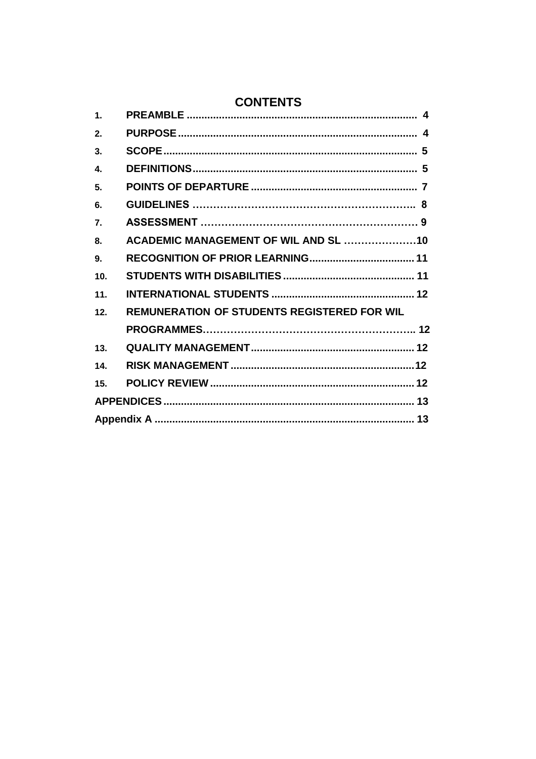# **CONTENTS**

| $\mathbf 1$      |                                                    |
|------------------|----------------------------------------------------|
| 2.               |                                                    |
| 3.               |                                                    |
| 4.               |                                                    |
| 5.               |                                                    |
| 6.               |                                                    |
| $\overline{7}$ . |                                                    |
| 8.               | ACADEMIC MANAGEMENT OF WIL AND SL 10               |
| 9.               |                                                    |
| 10.              |                                                    |
| 11.              |                                                    |
| 12.              | <b>REMUNERATION OF STUDENTS REGISTERED FOR WIL</b> |
|                  |                                                    |
| 13.              |                                                    |
| 14.              |                                                    |
| 15.              |                                                    |
|                  |                                                    |
|                  |                                                    |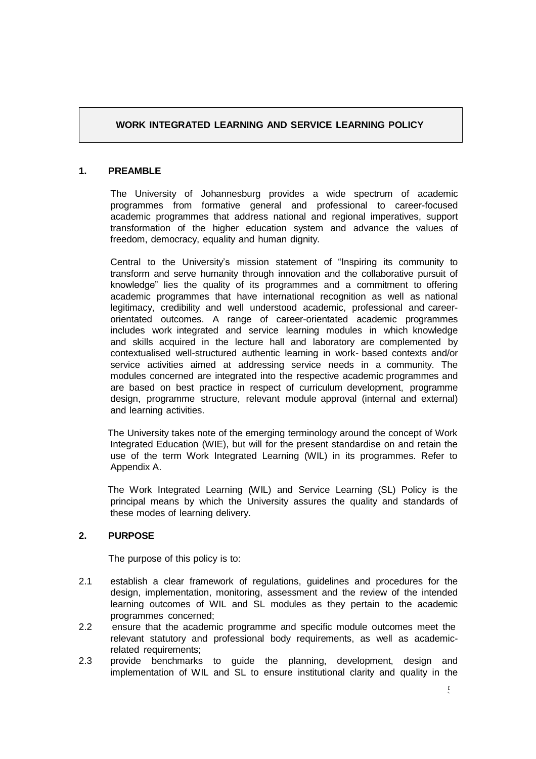#### <span id="page-3-0"></span>**1. PREAMBLE**

The University of Johannesburg provides a wide spectrum of academic programmes from formative general and professional to career-focused academic programmes that address national and regional imperatives, support transformation of the higher education system and advance the values of freedom, democracy, equality and human dignity.

**EXAMPRO LEARNING** AND SERVICE LEARNING POLICY<br> **EXAMBLE**<br>
The University of Johannesburg provides a wide spectrum of academic<br>
nogrammes from formative general and professional to career-focused<br>
constrained projections t Central to the University's mission statement of "Inspiring its community to transform and serve humanity through innovation and the collaborative pursuit of knowledge" lies the quality of its programmes and a commitment to offering academic programmes that have international recognition as well as national legitimacy, credibility and well understood academic, professional and careerorientated outcomes. A range of career-orientated academic programmes includes work integrated and service learning modules in which knowledge and skills acquired in the lecture hall and laboratory are complemented by contextualised well-structured authentic learning in work- based contexts and/or service activities aimed at addressing service needs in a community. The modules concerned are integrated into the respective academic programmes and are based on best practice in respect of curriculum development, programme design, programme structure, relevant module approval (internal and external) and learning activities.

The University takes note of the emerging terminology around the concept of Work Integrated Education (WIE), but will for the present standardise on and retain the use of the term Work Integrated Learning (WIL) in its programmes. Refer to Appendix A.

The Work Integrated Learning (WIL) and Service Learning (SL) Policy is the principal means by which the University assures the quality and standards of these modes of learning delivery.

#### <span id="page-3-1"></span>**2. PURPOSE**

The purpose of this policy is to:

- 2.1 establish a clear framework of regulations, guidelines and procedures for the design, implementation, monitoring, assessment and the review of the intended learning outcomes of WIL and SL modules as they pertain to the academic programmes concerned;
- 2.2 ensure that the academic programme and specific module outcomes meet the relevant statutory and professional body requirements, as well as academicrelated requirements;
- 2.3 provide benchmarks to guide the planning, development, design and implementation of WIL and SL to ensure institutional clarity and quality in the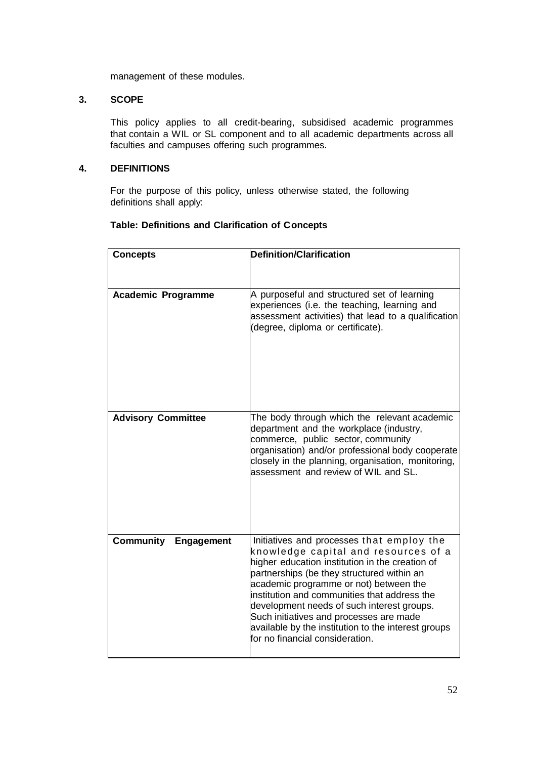management of these modules.

#### <span id="page-4-0"></span>**3. SCOPE**

This policy applies to all credit-bearing, subsidised academic programmes that contain a WIL or SL component and to all academic departments across all faculties and campuses offering such programmes.

#### <span id="page-4-1"></span>**4. DEFINITIONS**

For the purpose of this policy, unless otherwise stated, the following definitions shall apply:

#### **Table: Definitions and Clarification of Concepts**

| <b>Concepts</b>                | <b>Definition/Clarification</b>                                                                                                                                                                                                                                                                                                                                                                                                                                 |
|--------------------------------|-----------------------------------------------------------------------------------------------------------------------------------------------------------------------------------------------------------------------------------------------------------------------------------------------------------------------------------------------------------------------------------------------------------------------------------------------------------------|
|                                |                                                                                                                                                                                                                                                                                                                                                                                                                                                                 |
| <b>Academic Programme</b>      | A purposeful and structured set of learning<br>experiences (i.e. the teaching, learning and<br>assessment activities) that lead to a qualification<br>(degree, diploma or certificate).                                                                                                                                                                                                                                                                         |
| <b>Advisory Committee</b>      | The body through which the relevant academic<br>department and the workplace (industry,<br>commerce, public sector, community<br>organisation) and/or professional body cooperate<br>closely in the planning, organisation, monitoring,<br>assessment and review of WIL and SL.                                                                                                                                                                                 |
| <b>Community</b><br>Engagement | Initiatives and processes that employ the<br>knowledge capital and resources of a<br>higher education institution in the creation of<br>partnerships (be they structured within an<br>academic programme or not) between the<br>institution and communities that address the<br>development needs of such interest groups.<br>Such initiatives and processes are made<br>available by the institution to the interest groups<br>for no financial consideration. |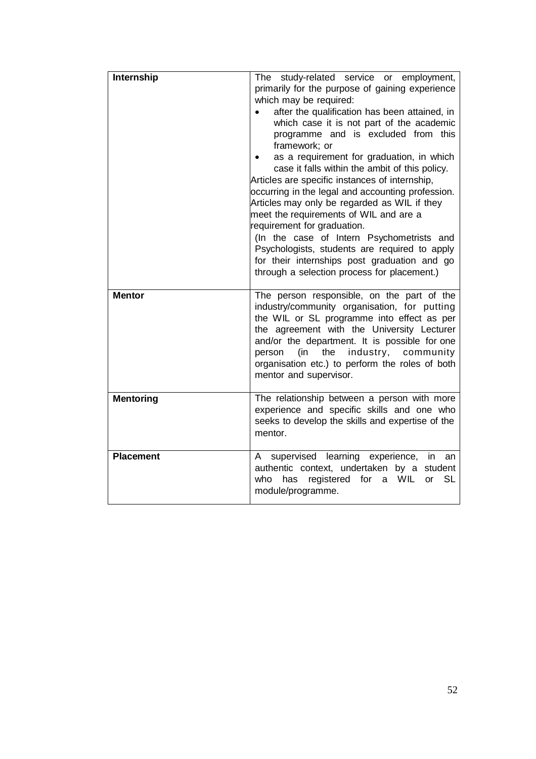| Internship       | The study-related service or employment,<br>primarily for the purpose of gaining experience<br>which may be required:<br>after the qualification has been attained, in<br>which case it is not part of the academic<br>programme and is excluded from this<br>framework; or<br>as a requirement for graduation, in which<br>case it falls within the ambit of this policy.<br>Articles are specific instances of internship,<br>occurring in the legal and accounting profession.<br>Articles may only be regarded as WIL if they<br>meet the requirements of WIL and are a<br>requirement for graduation.<br>(In the case of Intern Psychometrists and<br>Psychologists, students are required to apply<br>for their internships post graduation and go<br>through a selection process for placement.) |
|------------------|---------------------------------------------------------------------------------------------------------------------------------------------------------------------------------------------------------------------------------------------------------------------------------------------------------------------------------------------------------------------------------------------------------------------------------------------------------------------------------------------------------------------------------------------------------------------------------------------------------------------------------------------------------------------------------------------------------------------------------------------------------------------------------------------------------|
| <b>Mentor</b>    | The person responsible, on the part of the<br>industry/community organisation, for putting<br>the WIL or SL programme into effect as per<br>the agreement with the University Lecturer<br>and/or the department. It is possible for one<br>industry, community<br>person<br>(in<br>the<br>organisation etc.) to perform the roles of both<br>mentor and supervisor.                                                                                                                                                                                                                                                                                                                                                                                                                                     |
| <b>Mentoring</b> | The relationship between a person with more<br>experience and specific skills and one who<br>seeks to develop the skills and expertise of the<br>mentor.                                                                                                                                                                                                                                                                                                                                                                                                                                                                                                                                                                                                                                                |
| <b>Placement</b> | supervised learning experience,<br>$\mathsf{A}$<br>an<br>in.<br>authentic context, undertaken by a<br>student<br><b>SL</b><br>registered<br>WIL<br>who<br>has<br>for<br>a<br>or<br>module/programme.                                                                                                                                                                                                                                                                                                                                                                                                                                                                                                                                                                                                    |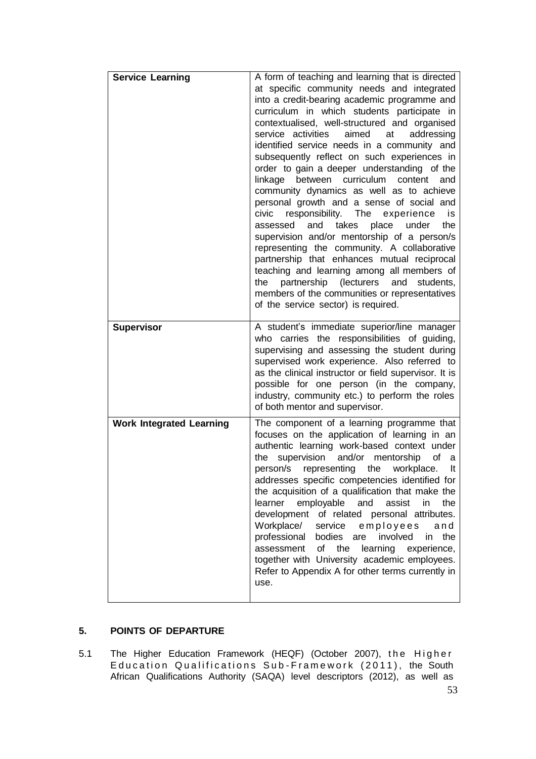| <b>Service Learning</b>         | A form of teaching and learning that is directed<br>at specific community needs and integrated<br>into a credit-bearing academic programme and<br>curriculum in which students participate in<br>contextualised, well-structured and organised<br>service activities<br>aimed<br>at<br>addressing<br>identified service needs in a community and<br>subsequently reflect on such experiences in<br>order to gain a deeper understanding of the<br>between curriculum<br>linkage<br>content<br>and<br>community dynamics as well as to achieve<br>personal growth and a sense of social and<br>The<br>civic<br>responsibility.<br>experience<br>is<br>the<br>and<br>takes<br>place<br>assessed<br>under<br>supervision and/or mentorship of a person/s<br>representing the community. A collaborative<br>partnership that enhances mutual reciprocal<br>teaching and learning among all members of<br>partnership<br>(lecturers<br>the<br>and<br>students,<br>members of the communities or representatives<br>of the service sector) is required. |
|---------------------------------|---------------------------------------------------------------------------------------------------------------------------------------------------------------------------------------------------------------------------------------------------------------------------------------------------------------------------------------------------------------------------------------------------------------------------------------------------------------------------------------------------------------------------------------------------------------------------------------------------------------------------------------------------------------------------------------------------------------------------------------------------------------------------------------------------------------------------------------------------------------------------------------------------------------------------------------------------------------------------------------------------------------------------------------------------|
| <b>Supervisor</b>               | A student's immediate superior/line manager<br>who carries the responsibilities of guiding,<br>supervising and assessing the student during<br>supervised work experience. Also referred to<br>as the clinical instructor or field supervisor. It is<br>possible for one person (in the company,<br>industry, community etc.) to perform the roles<br>of both mentor and supervisor.                                                                                                                                                                                                                                                                                                                                                                                                                                                                                                                                                                                                                                                              |
| <b>Work Integrated Learning</b> | The component of a learning programme that<br>focuses on the application of learning in an<br>authentic learning work-based context under<br>supervision<br>and/or<br>mentorship<br>of<br>the<br>a<br>the<br>person/s<br>representing<br>workplace.<br>It<br>addresses specific competencies identified for<br>the acquisition of a qualification that make the<br>learner<br>employable<br>and<br>assist<br>in<br>the<br>development of related personal attributes.<br>Workplace/<br>service<br>employees<br>and<br>professional<br>bodies<br>involved<br>are<br>in<br>the<br>of<br>assessment<br>the<br>learning<br>experience,<br>together with University academic employees.<br>Refer to Appendix A for other terms currently in<br>use.                                                                                                                                                                                                                                                                                                    |

### <span id="page-6-0"></span>**5. POINTS OF DEPARTURE**

5.1 The Higher Education Framework (HEQF) (October 2007), the Higher Education Qualifications Sub–Framework (2011), the South African Qualifications Authority (SAQA) level descriptors (2012), as well as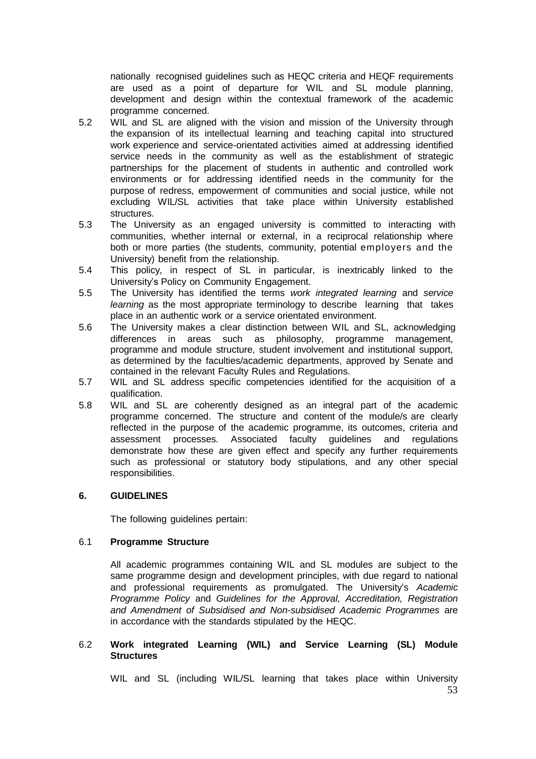nationally recognised guidelines such as HEQC criteria and HEQF requirements are used as a point of departure for WIL and SL module planning, development and design within the contextual framework of the academic programme concerned.

- 5.2 WIL and SL are aligned with the vision and mission of the University through the expansion of its intellectual learning and teaching capital into structured work experience and service-orientated activities aimed at addressing identified service needs in the community as well as the establishment of strategic partnerships for the placement of students in authentic and controlled work environments or for addressing identified needs in the community for the purpose of redress, empowerment of communities and social justice, while not excluding WIL/SL activities that take place within University established structures.
- 5.3 The University as an engaged university is committed to interacting with communities, whether internal or external, in a reciprocal relationship where both or more parties (the students, community, potential employers and the University) benefit from the relationship.
- 5.4 This policy, in respect of SL in particular, is inextricably linked to the University's Policy on Community Engagement.
- 5.5 The University has identified the terms *work integrated learning* and *service learning* as the most appropriate terminology to describe learning that takes place in an authentic work or a service orientated environment.
- 5.6 The University makes a clear distinction between WIL and SL, acknowledging differences in areas such as philosophy, programme management, programme and module structure, student involvement and institutional support, as determined by the faculties/academic departments, approved by Senate and contained in the relevant Faculty Rules and Regulations.
- 5.7 WIL and SL address specific competencies identified for the acquisition of a qualification.
- 5.8 WIL and SL are coherently designed as an integral part of the academic programme concerned. The structure and content of the module/s are clearly reflected in the purpose of the academic programme, its outcomes, criteria and assessment processes. Associated faculty guidelines and regulations demonstrate how these are given effect and specify any further requirements such as professional or statutory body stipulations, and any other special responsibilities.

#### <span id="page-7-0"></span>**6. GUIDELINES**

The following guidelines pertain:

#### 6.1 **Programme Structure**

All academic programmes containing WIL and SL modules are subject to the same programme design and development principles, with due regard to national and professional requirements as promulgated. The University's *Academic Programme Policy* and *Guidelines for the Approval, Accreditation, Registration and Amendment of Subsidised and Non-subsidised Academic Programmes* are in accordance with the standards stipulated by the HEQC.

#### 6.2 **Work integrated Learning (WIL) and Service Learning (SL) Module Structures**

WIL and SL (including WIL/SL learning that takes place within University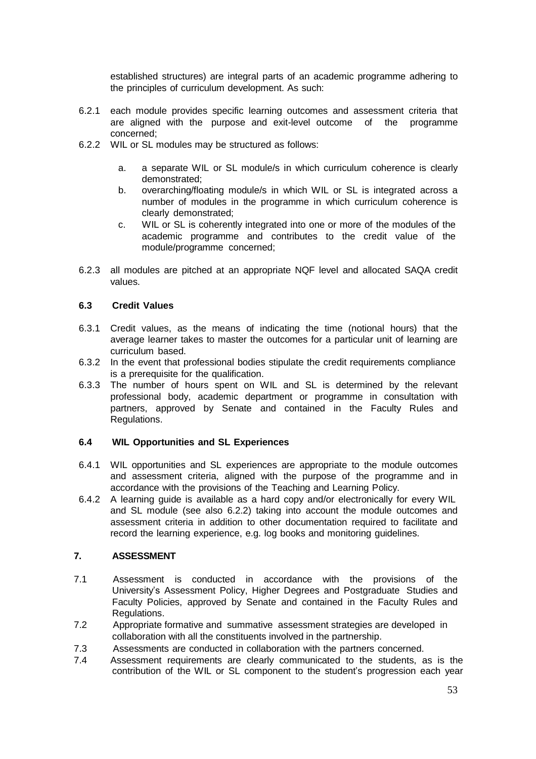established structures) are integral parts of an academic programme adhering to the principles of curriculum development. As such:

- 6.2.1 each module provides specific learning outcomes and assessment criteria that are aligned with the purpose and exit-level outcome of the programme concerned;
- 6.2.2 WIL or SL modules may be structured as follows:
	- a. a separate WIL or SL module/s in which curriculum coherence is clearly demonstrated;
	- b. overarching/floating module/s in which WIL or SL is integrated across a number of modules in the programme in which curriculum coherence is clearly demonstrated;
	- c. WIL or SL is coherently integrated into one or more of the modules of the academic programme and contributes to the credit value of the module/programme concerned;
- 6.2.3 all modules are pitched at an appropriate NQF level and allocated SAQA credit values.

#### **6.3 Credit Values**

- 6.3.1 Credit values, as the means of indicating the time (notional hours) that the average learner takes to master the outcomes for a particular unit of learning are curriculum based.
- 6.3.2 In the event that professional bodies stipulate the credit requirements compliance is a prerequisite for the qualification.
- 6.3.3 The number of hours spent on WIL and SL is determined by the relevant professional body, academic department or programme in consultation with partners, approved by Senate and contained in the Faculty Rules and Regulations.

#### **6.4 WIL Opportunities and SL Experiences**

- 6.4.1 WIL opportunities and SL experiences are appropriate to the module outcomes and assessment criteria, aligned with the purpose of the programme and in accordance with the provisions of the Teaching and Learning Policy.
- 6.4.2 A learning guide is available as a hard copy and/or electronically for every WIL and SL module (see also 6.2.2) taking into account the module outcomes and assessment criteria in addition to other documentation required to facilitate and record the learning experience, e.g. log books and monitoring guidelines.

#### **7. ASSESSMENT**

- 7.1 Assessment is conducted in accordance with the provisions of the University's Assessment Policy, Higher Degrees and Postgraduate Studies and Faculty Policies, approved by Senate and contained in the Faculty Rules and Regulations.
- 7.2 Appropriate formative and summative assessment strategies are developed in collaboration with all the constituents involved in the partnership.
- 7.3 Assessments are conducted in collaboration with the partners concerned.
- 7.4 Assessment requirements are clearly communicated to the students, as is the contribution of the WIL or SL component to the student's progression each year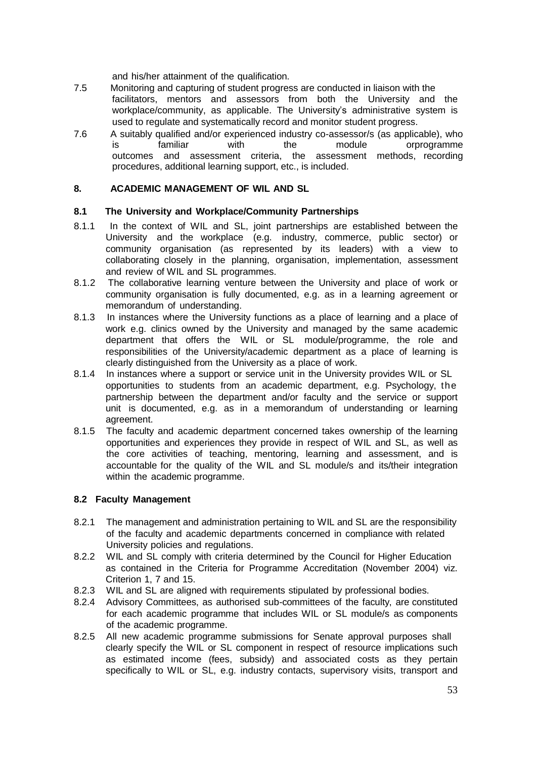and his/her attainment of the qualification.

- 7.5 Monitoring and capturing of student progress are conducted in liaison with the facilitators, mentors and assessors from both the University and the workplace/community, as applicable. The University's administrative system is used to regulate and systematically record and monitor student progress.
- 7.6 A suitably qualified and/or experienced industry co-assessor/s (as applicable), who<br>is familiar with the module orprogramme is familiar with the module orprogramme outcomes and assessment criteria, the assessment methods, recording procedures, additional learning support, etc., is included.

#### <span id="page-9-0"></span>**8. ACADEMIC MANAGEMENT OF WIL AND SL**

#### **8.1 The University and Workplace/Community Partnerships**

- 8.1.1 In the context of WIL and SL, joint partnerships are established between the University and the workplace (e.g. industry, commerce, public sector) or community organisation (as represented by its leaders) with a view to collaborating closely in the planning, organisation, implementation, assessment and review of WIL and SL programmes.
- 8.1.2 The collaborative learning venture between the University and place of work or community organisation is fully documented, e.g. as in a learning agreement or memorandum of understanding.
- 8.1.3 In instances where the University functions as a place of learning and a place of work e.g. clinics owned by the University and managed by the same academic department that offers the WIL or SL module/programme, the role and responsibilities of the University/academic department as a place of learning is clearly distinguished from the University as a place of work.
- 8.1.4 In instances where a support or service unit in the University provides WIL or SL opportunities to students from an academic department, e.g. Psychology, the partnership between the department and/or faculty and the service or support unit is documented, e.g. as in a memorandum of understanding or learning agreement.
- 8.1.5 The faculty and academic department concerned takes ownership of the learning opportunities and experiences they provide in respect of WIL and SL, as well as the core activities of teaching, mentoring, learning and assessment, and is accountable for the quality of the WIL and SL module/s and its/their integration within the academic programme.

#### **8.2 Faculty Management**

- 8.2.1 The management and administration pertaining to WIL and SL are the responsibility of the faculty and academic departments concerned in compliance with related University policies and regulations.
- 8.2.2 WIL and SL comply with criteria determined by the Council for Higher Education as contained in the Criteria for Programme Accreditation (November 2004) viz. Criterion 1, 7 and 15.
- 8.2.3 WIL and SL are aligned with requirements stipulated by professional bodies.
- 8.2.4 Advisory Committees, as authorised sub-committees of the faculty, are constituted for each academic programme that includes WIL or SL module/s as components of the academic programme.
- 8.2.5 All new academic programme submissions for Senate approval purposes shall clearly specify the WIL or SL component in respect of resource implications such as estimated income (fees, subsidy) and associated costs as they pertain specifically to WIL or SL, e.g. industry contacts, supervisory visits, transport and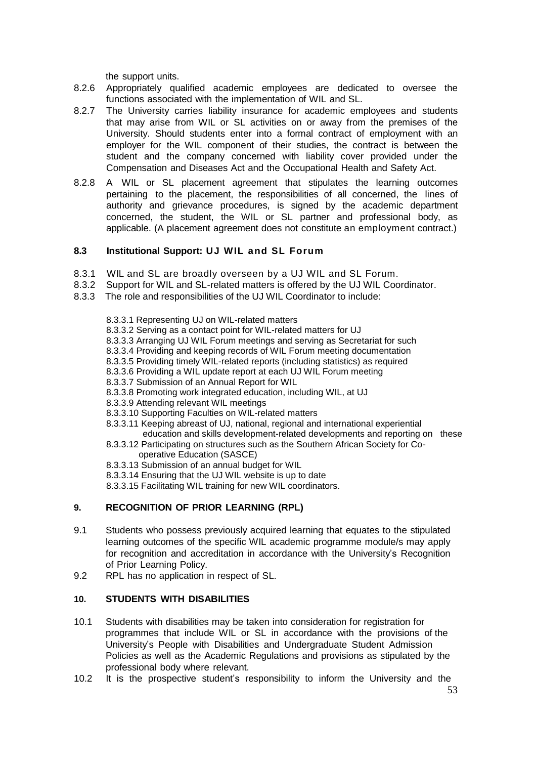the support units.

- 8.2.6 Appropriately qualified academic employees are dedicated to oversee the functions associated with the implementation of WIL and SL.
- 8.2.7 The University carries liability insurance for academic employees and students that may arise from WIL or SL activities on or away from the premises of the University. Should students enter into a formal contract of employment with an employer for the WIL component of their studies, the contract is between the student and the company concerned with liability cover provided under the Compensation and Diseases Act and the Occupational Health and Safety Act.
- 8.2.8 A WIL or SL placement agreement that stipulates the learning outcomes pertaining to the placement, the responsibilities of all concerned, the lines of authority and grievance procedures, is signed by the academic department concerned, the student, the WIL or SL partner and professional body, as applicable. (A placement agreement does not constitute an employment contract.)

### **8.3 Institutional Support: UJ WIL and SL Forum**

- 8.3.1 WIL and SL are broadly overseen by a UJ WIL and SL Forum.
- 8.3.2 Support for WIL and SL-related matters is offered by the UJ WIL Coordinator.
- 8.3.3 The role and responsibilities of the UJ WIL Coordinator to include:
	- 8.3.3.1 Representing UJ on WIL-related matters
	- 8.3.3.2 Serving as a contact point for WIL-related matters for UJ
	- 8.3.3.3 Arranging UJ WIL Forum meetings and serving as Secretariat for such
	- 8.3.3.4 Providing and keeping records of WIL Forum meeting documentation
	- 8.3.3.5 Providing timely WIL-related reports (including statistics) as required
	- 8.3.3.6 Providing a WIL update report at each UJ WIL Forum meeting
	- 8.3.3.7 Submission of an Annual Report for WIL
	- 8.3.3.8 Promoting work integrated education, including WIL, at UJ
	- 8.3.3.9 Attending relevant WIL meetings
	- 8.3.3.10 Supporting Faculties on WIL-related matters
	- 8.3.3.11 Keeping abreast of UJ, national, regional and international experiential education and skills development-related developments and reporting on these
	- 8.3.3.12 Participating on structures such as the Southern African Society for Cooperative Education (SASCE)
	- 8.3.3.13 Submission of an annual budget for WIL
	- 8.3.3.14 Ensuring that the UJ WIL website is up to date
	- 8.3.3.15 Facilitating WIL training for new WIL coordinators.

### **9. RECOGNITION OF PRIOR LEARNING (RPL)**

- 9.1 Students who possess previously acquired learning that equates to the stipulated learning outcomes of the specific WIL academic programme module/s may apply for recognition and accreditation in accordance with the University's Recognition of Prior Learning Policy.
- 9.2 RPL has no application in respect of SL.

### <span id="page-10-0"></span>**10. STUDENTS WITH DISABILITIES**

- 10.1 Students with disabilities may be taken into consideration for registration for programmes that include WIL or SL in accordance with the provisions of the University's People with Disabilities and Undergraduate Student Admission Policies as well as the Academic Regulations and provisions as stipulated by the professional body where relevant.
- 10.2 It is the prospective student's responsibility to inform the University and the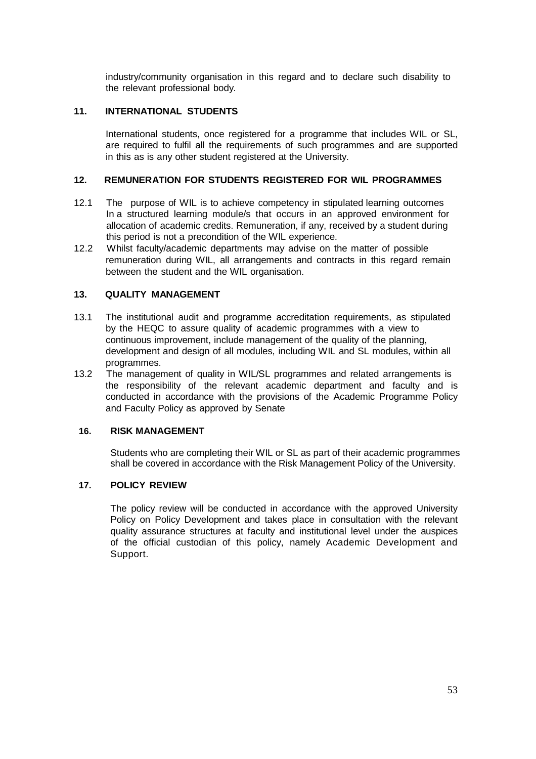industry/community organisation in this regard and to declare such disability to the relevant professional body.

#### **11. INTERNATIONAL STUDENTS**

International students, once registered for a programme that includes WIL or SL, are required to fulfil all the requirements of such programmes and are supported in this as is any other student registered at the University.

#### **12. REMUNERATION FOR STUDENTS REGISTERED FOR WIL PROGRAMMES**

- 12.1 The purpose of WIL is to achieve competency in stipulated learning outcomes In a structured learning module/s that occurs in an approved environment for allocation of academic credits. Remuneration, if any, received by a student during this period is not a precondition of the WIL experience.
- 12.2 Whilst faculty/academic departments may advise on the matter of possible remuneration during WIL, all arrangements and contracts in this regard remain between the student and the WIL organisation.

#### <span id="page-11-0"></span>**13. QUALITY MANAGEMENT**

- 13.1 The institutional audit and programme accreditation requirements, as stipulated by the HEQC to assure quality of academic programmes with a view to continuous improvement, include management of the quality of the planning, development and design of all modules, including WIL and SL modules, within all programmes.
- 13.2 The management of quality in WIL/SL programmes and related arrangements is the responsibility of the relevant academic department and faculty and is conducted in accordance with the provisions of the Academic Programme Policy and Faculty Policy as approved by Senate

#### <span id="page-11-1"></span>**16. RISK MANAGEMENT**

Students who are completing their WIL or SL as part of their academic programmes shall be covered in accordance with the Risk Management Policy of the University.

#### **17. POLICY REVIEW**

The policy review will be conducted in accordance with the approved University Policy on Policy Development and takes place in consultation with the relevant quality assurance structures at faculty and institutional level under the auspices of the official custodian of this policy, namely Academic Development and Support.